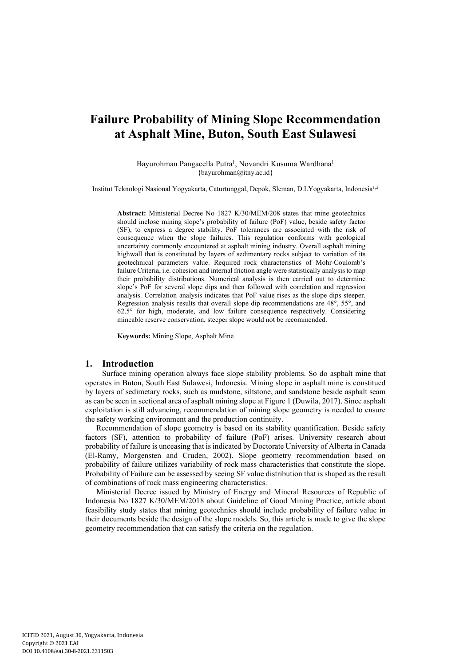# **Failure Probability of Mining Slope Recommendation at Asphalt Mine, Buton, South East Sulawesi**

Bayurohman Pangacella Putra<sup>1</sup>, Novandri Kusuma Wardhana<sup>1</sup> {bayurohman@itny.ac.id}

Institut Teknologi Nasional Yogyakarta, Caturtunggal, Depok, Sleman, D.I.Yogyakarta, Indonesia1,2

**Abstract:** Ministerial Decree No 1827 K/30/MEM/208 states that mine geotechnics should inclose mining slope's probability of failure (PoF) value, beside safety factor (SF), to express a degree stability. PoF tolerances are associated with the risk of consequence when the slope failures. This regulation conforms with geological uncertainty commonly encountered at asphalt mining industry. Overall asphalt mining highwall that is constituted by layers of sedimentary rocks subject to variation of its geotechnical parameters value. Required rock characteristics of Mohr-Coulomb's failure Criteria, i.e. cohesion and internal friction angle were statistically analysis to map their probability distributions. Numerical analysis is then carried out to determine slope's PoF for several slope dips and then followed with correlation and regression analysis. Correlation analysis indicates that PoF value rises as the slope dips steeper. Regression analysis results that overall slope dip recommendations are 48°, 55°, and 62.5° for high, moderate, and low failure consequence respectively. Considering mineable reserve conservation, steeper slope would not be recommended.

**Keywords:** Mining Slope, Asphalt Mine

## **1. Introduction**

Surface mining operation always face slope stability problems. So do asphalt mine that operates in Buton, South East Sulawesi, Indonesia. Mining slope in asphalt mine is constitued by layers of sedimetary rocks, such as mudstone, siltstone, and sandstone beside asphalt seam as can be seen in sectional area of asphalt mining slope at Figure 1 (Duwila, 2017). Since asphalt exploitation is still advancing, recommendation of mining slope geometry is needed to ensure the safety working environment and the production continuity.

Recommendation of slope geometry is based on its stability quantification. Beside safety factors (SF), attention to probability of failure (PoF) arises. University research about probability of failure is unceasing that is indicated by Doctorate University of Alberta in Canada (El-Ramy, Morgensten and Cruden, 2002). Slope geometry recommendation based on probability of failure utilizes variability of rock mass characteristics that constitute the slope. Probability of Failure can be assessed by seeing SF value distribution that is shaped as the result of combinations of rock mass engineering characteristics.

Ministerial Decree issued by Ministry of Energy and Mineral Resources of Republic of Indonesia No 1827 K/30/MEM/2018 about Guideline of Good Mining Practice, article about feasibility study states that mining geotechnics should include probability of failure value in their documents beside the design of the slope models. So, this article is made to give the slope geometry recommendation that can satisfy the criteria on the regulation.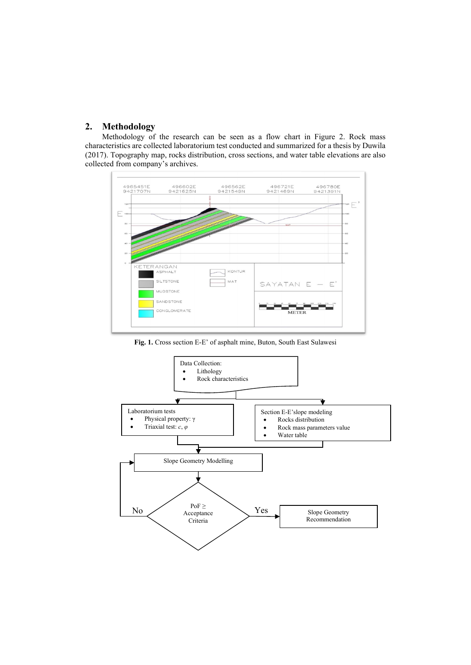# **2. Methodology**

Methodology of the research can be seen as a flow chart in Figure 2. Rock mass characteristics are collected laboratorium test conducted and summarized for a thesis by Duwila (2017). Topography map, rocks distribution, cross sections, and water table elevations are also collected from company's archives.



**Fig. 1.** Cross section E-E' of asphalt mine, Buton, South East Sulawesi

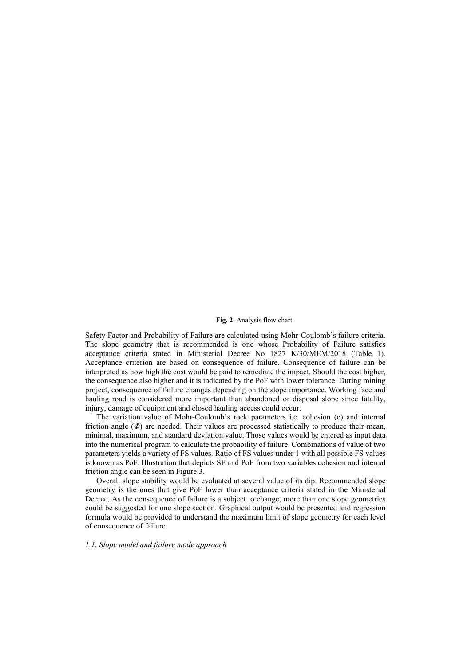#### Numerical method analysis is carried out to determine slope geometry recommendation. **Fig. 2**. Analysis flow chart

Safety Factor and Probability of Failure are calculated using Mohr-Coulomb's failure criteria. The slope geometry that is recommended is one whose Probability of Failure satisfies acceptance criteria stated in Ministerial Decree No 1827 K/30/MEM/2018 (Table 1). Acceptance criterion are based on consequence of failure. Consequence of failure can be interpreted as how high the cost would be paid to remediate the impact. Should the cost higher, the consequence also higher and it is indicated by the PoF with lower tolerance. During mining project, consequence of failure changes depending on the slope importance. Working face and hauling road is considered more important than abandoned or disposal slope since fatality, injury, damage of equipment and closed hauling access could occur.

The variation value of Mohr-Coulomb's rock parameters i.e. cohesion (c) and internal friction angle (*Φ*) are needed. Their values are processed statistically to produce their mean, minimal, maximum, and standard deviation value. Those values would be entered as input data into the numerical program to calculate the probability of failure. Combinations of value of two parameters yields a variety of FS values. Ratio of FS values under 1 with all possible FS values is known as PoF. Illustration that depicts SF and PoF from two variables cohesion and internal friction angle can be seen in Figure 3.

Overall slope stability would be evaluated at several value of its dip. Recommended slope geometry is the ones that give PoF lower than acceptance criteria stated in the Ministerial Decree. As the consequence of failure is a subject to change, more than one slope geometries could be suggested for one slope section. Graphical output would be presented and regression formula would be provided to understand the maximum limit of slope geometry for each level of consequence of failure.

## *1.1. Slope model and failure mode approach*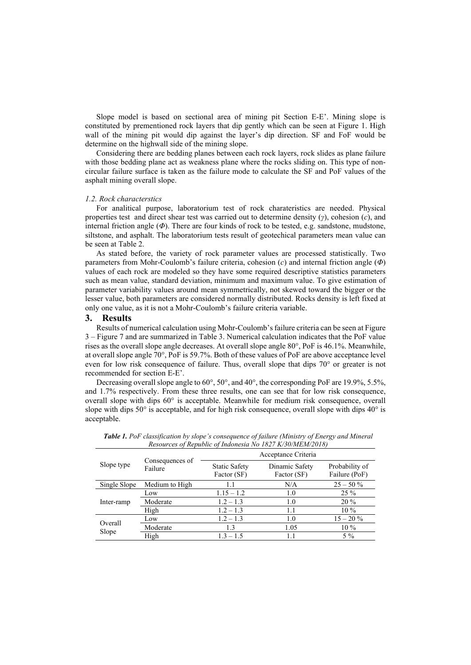Slope model is based on sectional area of mining pit Section E-E'. Mining slope is constituted by prementioned rock layers that dip gently which can be seen at Figure 1. High wall of the mining pit would dip against the layer's dip direction. SF and FoF would be determine on the highwall side of the mining slope.

Considering there are bedding planes between each rock layers, rock slides as plane failure with those bedding plane act as weakness plane where the rocks sliding on. This type of noncircular failure surface is taken as the failure mode to calculate the SF and PoF values of the asphalt mining overall slope.

#### *1.2. Rock characterstics*

For analitical purpose, laboratorium test of rock charateristics are needed. Physical properties test and direct shear test was carried out to determine density (*γ*), cohesion (*c*), and internal friction angle (*Φ*). There are four kinds of rock to be tested, e.g. sandstone, mudstone, siltstone, and asphalt. The laboratorium tests result of geotechical parameters mean value can be seen at Table 2.

As stated before, the variety of rock parameter values are processed statistically. Two parameters from Mohr-Coulomb's failure criteria, cohesion (*c*) and internal friction angle (*Φ*) values of each rock are modeled so they have some required descriptive statistics parameters such as mean value, standard deviation, minimum and maximum value. To give estimation of parameter variability values around mean symmetrically, not skewed toward the bigger or the lesser value, both parameters are considered normally distributed. Rocks density is left fixed at only one value, as it is not a Mohr-Coulomb's failure criteria variable.

## **3. Results**

Results of numerical calculation using Mohr-Coulomb's failure criteria can be seen at Figure 3 – Figure 7 and are summarized in Table 3. Numerical calculation indicates that the PoF value rises as the overall slope angle decreases. At overall slope angle 80°, PoF is 46.1%. Meanwhile, at overall slope angle 70°, PoF is 59.7%. Both of these values of PoF are above acceptance level even for low risk consequence of failure. Thus, overall slope that dips 70° or greater is not recommended for section E-E'.

Decreasing overall slope angle to  $60^{\circ}$ ,  $50^{\circ}$ , and  $40^{\circ}$ , the corresponding PoF are 19.9%, 5.5%, and 1.7% respectively. From these three results, one can see that for low risk consequence, overall slope with dips 60° is acceptable. Meanwhile for medium risk consequence, overall slope with dips 50° is acceptable, and for high risk consequence, overall slope with dips 40° is acceptable.

| Slope type       | Consequences of<br>Failure | Acceptance Criteria                 |                               |                                 |  |
|------------------|----------------------------|-------------------------------------|-------------------------------|---------------------------------|--|
|                  |                            | <b>Static Safety</b><br>Factor (SF) | Dinamic Safety<br>Factor (SF) | Probability of<br>Failure (PoF) |  |
| Single Slope     | Medium to High             | L.                                  | N/A                           | $25 - 50\%$                     |  |
| Inter-ramp       | Low                        | $1.15 - 1.2$                        | 1.0                           | $25\%$                          |  |
|                  | Moderate                   | $1.2 - 1.3$                         | 1.0                           | $20\%$                          |  |
|                  | High                       | $1.2 - 1.3$                         | 1.1                           | $10\%$                          |  |
| Overall<br>Slope | Low                        | $1.2 - 1.3$                         | 1.0                           | $15 - 20 \%$                    |  |
|                  | Moderate                   | 1.3                                 | 1.05                          | $10\%$                          |  |
|                  | High                       | $1.3 - 1.5$                         | 1.1                           | $5\%$                           |  |

*Table 1. PoF classification by slope's consequence of failure (Ministry of Energy and Mineral Resources of Republic of Indonesia No 1827 K/30/MEM/2018)*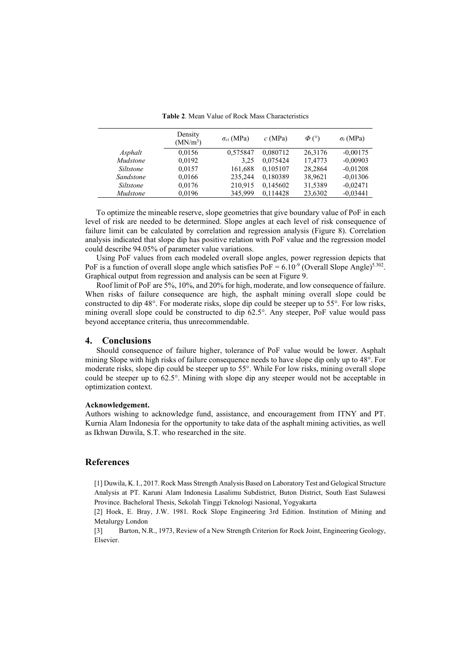|                  | Density<br>(MN/m <sup>3</sup> ) | $\sigma_{ci}$ (MPa) | c(MPa)   | $\Phi$ (°) | $\sigma_t$ (MPa) |
|------------------|---------------------------------|---------------------|----------|------------|------------------|
| Asphalt          | 0.0156                          | 0,575847            | 0,080712 | 26,3176    | $-0,00175$       |
| <i>Mudstone</i>  | 0,0192                          | 3,25                | 0.075424 | 17,4773    | $-0,00903$       |
| Siltstone        | 0,0157                          | 161,688             | 0.105107 | 28,2864    | $-0.01208$       |
| Sandstone        | 0,0166                          | 235.244             | 0,180389 | 38,9621    | $-0.01306$       |
| <i>Siltstone</i> | 0,0176                          | 210,915             | 0,145602 | 31,5389    | $-0,02471$       |
| Mudstone         | 0,0196                          | 345,999             | 0.114428 | 23,6302    | $-0.03441$       |

**Table 2**. Mean Value of Rock Mass Characteristics

To optimize the mineable reserve, slope geometries that give boundary value of PoF in each level of risk are needed to be determined. Slope angles at each level of risk consequence of failure limit can be calculated by correlation and regression analysis (Figure 8). Correlation analysis indicated that slope dip has positive relation with PoF value and the regression model could describe 94.05% of parameter value variations.

Using PoF values from each modeled overall slope angles, power regression depicts that PoF is a function of overall slope angle which satisfies  $PoF = 6.10^{-9}$  (Overall Slope Angle)<sup>5.302</sup>. Graphical output from regression and analysis can be seen at Figure 9.

Roof limit of PoF are 5%, 10%, and 20% for high, moderate, and low consequence of failure. When risks of failure consequence are high, the asphalt mining overall slope could be constructed to dip 48°. For moderate risks, slope dip could be steeper up to 55°. For low risks, mining overall slope could be constructed to dip 62.5°. Any steeper, PoF value would pass beyond acceptance criteria, thus unrecommendable.

# **4. Conclusions**

Should consequence of failure higher, tolerance of PoF value would be lower. Asphalt mining Slope with high risks of failure consequence needs to have slope dip only up to 48°. For moderate risks, slope dip could be steeper up to 55°. While For low risks, mining overall slope could be steeper up to 62.5°. Mining with slope dip any steeper would not be acceptable in optimization context.

## **Acknowledgement.**

Authors wishing to acknowledge fund, assistance, and encouragement from ITNY and PT. Kurnia Alam Indonesia for the opportunity to take data of the asphalt mining activities, as well as Ikhwan Duwila, S.T. who researched in the site.

# **References**

[1] Duwila, K. I., 2017. Rock Mass Strength Analysis Based on Laboratory Test and Gelogical Structure Analysis at PT. Karuni Alam Indonesia Lasalimu Subdistrict, Buton District, South East Sulawesi Province. Bacheloral Thesis, Sekolah Tinggi Teknologi Nasional, Yogyakarta

[2] Hoek, E. Bray, J.W. 1981. Rock Slope Engineering 3rd Edition. Institution of Mining and Metalurgy London

[3] Barton, N.R., 1973, Review of a New Strength Criterion for Rock Joint, Engineering Geology, Elsevier.